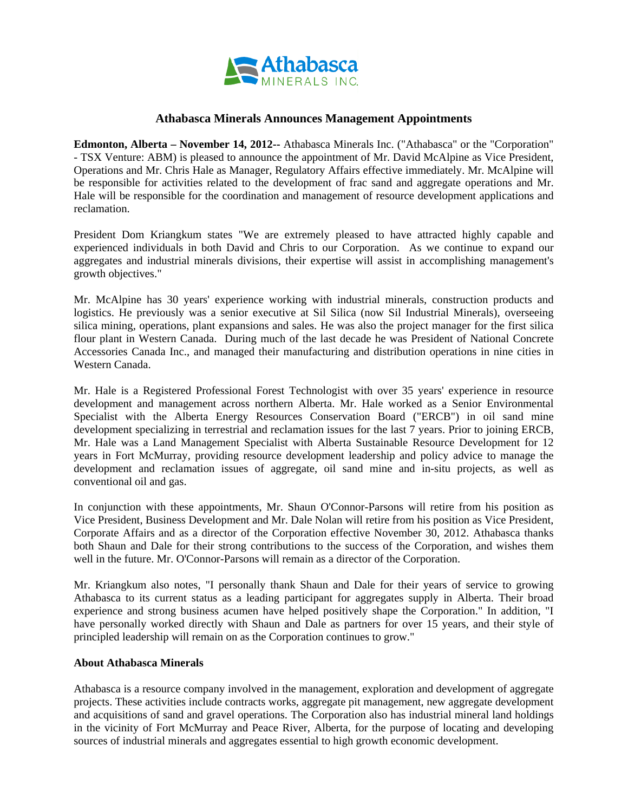

## **Athabasca Minerals Announces Management Appointments**

**Edmonton, Alberta – November 14, 2012--** Athabasca Minerals Inc. ("Athabasca" or the "Corporation" - TSX Venture: ABM) is pleased to announce the appointment of Mr. David McAlpine as Vice President, Operations and Mr. Chris Hale as Manager, Regulatory Affairs effective immediately. Mr. McAlpine will be responsible for activities related to the development of frac sand and aggregate operations and Mr. Hale will be responsible for the coordination and management of resource development applications and reclamation.

President Dom Kriangkum states "We are extremely pleased to have attracted highly capable and experienced individuals in both David and Chris to our Corporation. As we continue to expand our aggregates and industrial minerals divisions, their expertise will assist in accomplishing management's growth objectives."

Mr. McAlpine has 30 years' experience working with industrial minerals, construction products and logistics. He previously was a senior executive at Sil Silica (now Sil Industrial Minerals), overseeing silica mining, operations, plant expansions and sales. He was also the project manager for the first silica flour plant in Western Canada. During much of the last decade he was President of National Concrete Accessories Canada Inc., and managed their manufacturing and distribution operations in nine cities in Western Canada.

Mr. Hale is a Registered Professional Forest Technologist with over 35 years' experience in resource development and management across northern Alberta. Mr. Hale worked as a Senior Environmental Specialist with the Alberta Energy Resources Conservation Board ("ERCB") in oil sand mine development specializing in terrestrial and reclamation issues for the last 7 years. Prior to joining ERCB, Mr. Hale was a Land Management Specialist with Alberta Sustainable Resource Development for 12 years in Fort McMurray, providing resource development leadership and policy advice to manage the development and reclamation issues of aggregate, oil sand mine and in-situ projects, as well as conventional oil and gas.

In conjunction with these appointments, Mr. Shaun O'Connor-Parsons will retire from his position as Vice President, Business Development and Mr. Dale Nolan will retire from his position as Vice President, Corporate Affairs and as a director of the Corporation effective November 30, 2012. Athabasca thanks both Shaun and Dale for their strong contributions to the success of the Corporation, and wishes them well in the future. Mr. O'Connor-Parsons will remain as a director of the Corporation.

Mr. Kriangkum also notes, "I personally thank Shaun and Dale for their years of service to growing Athabasca to its current status as a leading participant for aggregates supply in Alberta. Their broad experience and strong business acumen have helped positively shape the Corporation." In addition, "I have personally worked directly with Shaun and Dale as partners for over 15 years, and their style of principled leadership will remain on as the Corporation continues to grow."

## **About Athabasca Minerals**

Athabasca is a resource company involved in the management, exploration and development of aggregate projects. These activities include contracts works, aggregate pit management, new aggregate development and acquisitions of sand and gravel operations. The Corporation also has industrial mineral land holdings in the vicinity of Fort McMurray and Peace River, Alberta, for the purpose of locating and developing sources of industrial minerals and aggregates essential to high growth economic development.